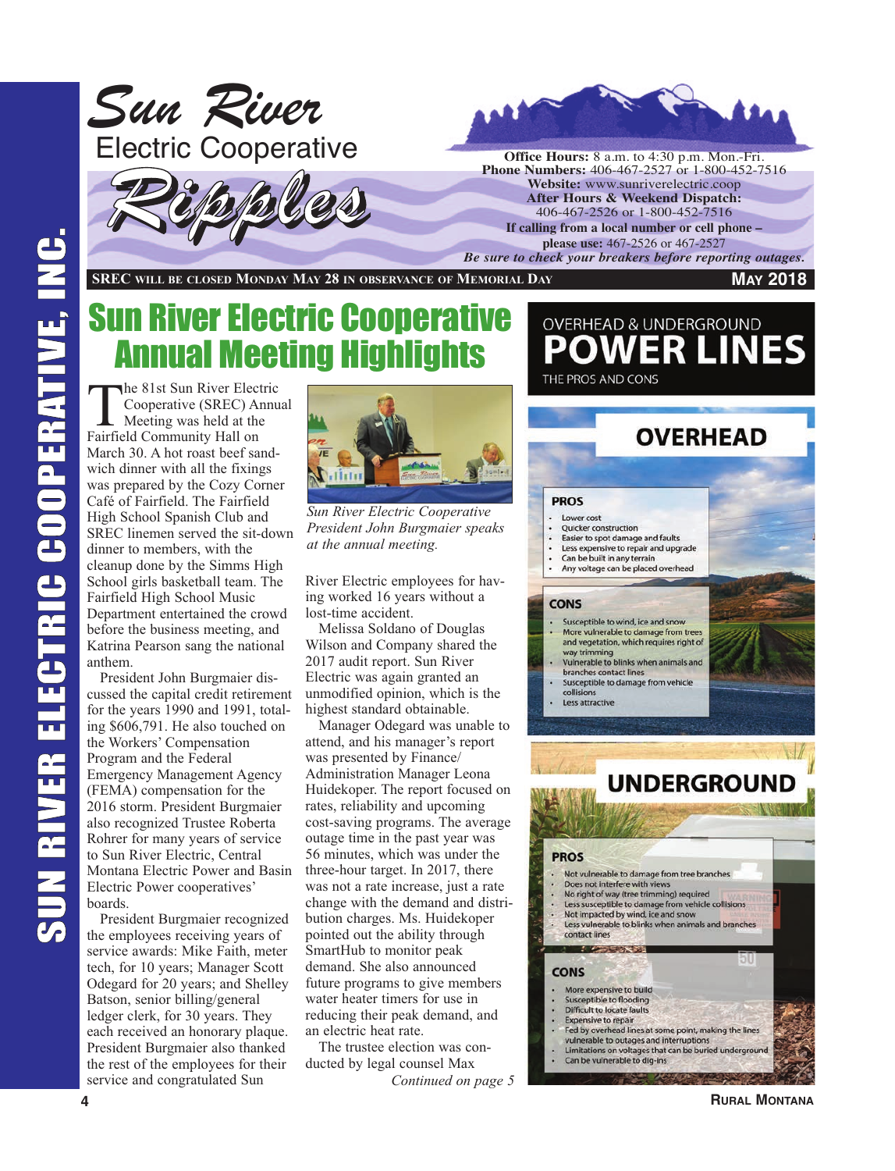

**SREC WILL BE CLOSED MONDAY MAY 28 IN OBSERVANCE OF MEMORIAL DAY**

#### **MAY 2018**

# Sun River Electric Cooperative Annual Meeting Highlights

The 81st Sun River Electric<br>Cooperative (SREC) Annu<br>Meeting was held at the<br>Enifield Community Hall on Cooperative (SREC) Annual Meeting was held at the Fairfield Community Hall on March 30. A hot roast beef sandwich dinner with all the fixings was prepared by the Cozy Corner Café of Fairfield. The Fairfield High School Spanish Club and SREC linemen served the sit-down dinner to members, with the cleanup done by the Simms High School girls basketball team. The Fairfield High School Music Department entertained the crowd before the business meeting, and Katrina Pearson sang the national anthem.

President John Burgmaier discussed the capital credit retirement for the years 1990 and 1991, totaling \$606,791. He also touched on the Workers' Compensation Program and the Federal Emergency Management Agency (FEMA) compensation for the 2016 storm. President Burgmaier also recognized Trustee Roberta Rohrer for many years of service to Sun River Electric, Central Montana Electric Power and Basin Electric Power cooperatives' boards.

President Burgmaier recognized the employees receiving years of service awards: Mike Faith, meter tech, for 10 years; Manager Scott Odegard for 20 years; and Shelley Batson, senior billing/general ledger clerk, for 30 years. They each received an honorary plaque. President Burgmaier also thanked the rest of the employees for their service and congratulated Sun



*Sun River Electric Cooperative President John Burgmaier speaks at the annual meeting.*

River Electric employees for having worked 16 years without a lost-time accident.

Melissa Soldano of Douglas Wilson and Company shared the 2017 audit report. Sun River Electric was again granted an unmodified opinion, which is the highest standard obtainable.

Manager Odegard was unable to attend, and his manager's report was presented by Finance/ Administration Manager Leona Huidekoper. The report focused on rates, reliability and upcoming cost-saving programs. The average outage time in the past year was 56 minutes, which was under the three-hour target. In 2017, there was not a rate increase, just a rate change with the demand and distribution charges. Ms. Huidekoper pointed out the ability through SmartHub to monitor peak demand. She also announced future programs to give members water heater timers for use in reducing their peak demand, and an electric heat rate.

The trustee election was conducted by legal counsel Max *Continued on page 5*

### **OVERHEAD & UNDERGROUND ER LINES** THE PROS AND CONS

## **OVERHEAD**

#### **PROS**

- Lower cost
- Quicker construction
- Easier to spot damage and faults Less expensive to repair and upgrade
- Can be built in any terrain
- Any voltage can be placed overhead

#### **CONS**

- Susceptible to wind, ice and snow More vulnerable to damage from trees and vegetation, which requires right of
- way trimming Vulnerable to blinks when animals and
- branches contact lines Susceptible to damage from vehicle
- collisions Less attractive
- 



**RURAL MONTANA**